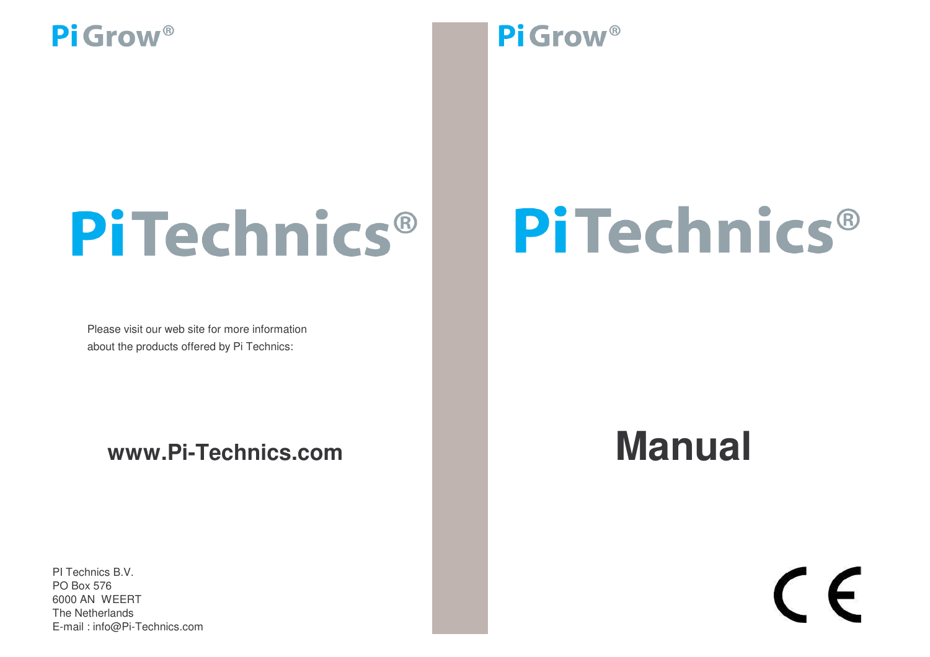## PiTechnics®

Please visit our web site for more information about the products offered by Pi Technics:

**www.Pi-Technics.com**

PI Technics B.V. The Netherlands E-mail : info@Pi-Technics.com PO Box 576 6000 AN WEERT

### Pi Grow<sup>®</sup>

## PiTechnics®

## **Manual**

# $\epsilon$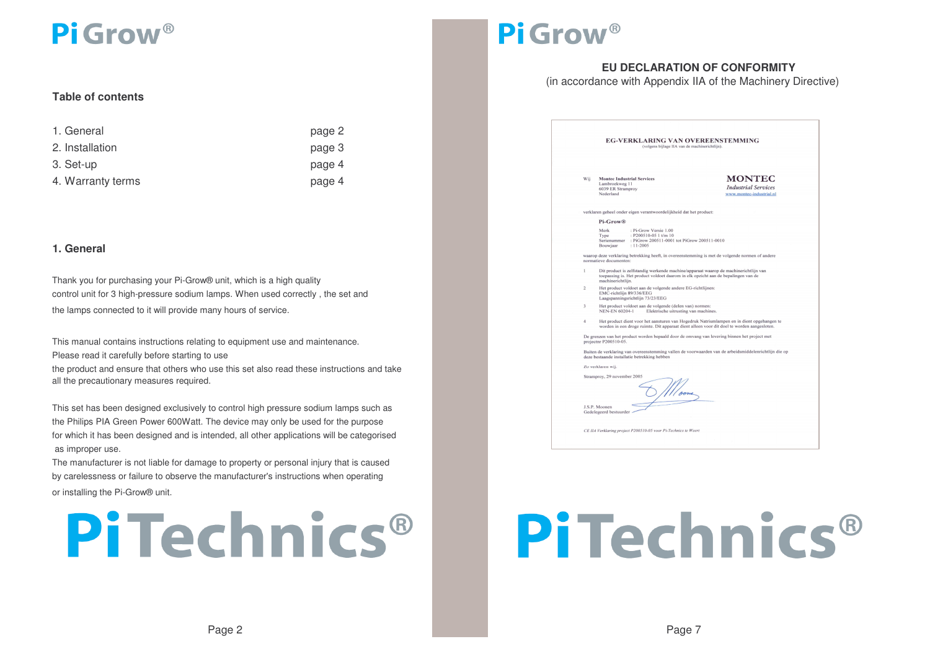#### **Table of contents**

| 1. General        | page 2 |
|-------------------|--------|
| 2. Installation   | page 3 |
| 3. Set-up         | page 4 |
| 4. Warranty terms | page 4 |

#### **1. General**

Thank you for purchasing your Pi-Grow® unit, which is <sup>a</sup> high quality control unit for 3 high-pressure sodium lamps. When used correctly , the set and the lamps connected to it will provide many hours of service.

Please read it carefully before starting to use the product and ensure that others who use this set also read these instructions and take all the precautionary measures required. This manual contains instructions relating to equipment use and maintenance.

as improper use. This set has been designed exclusively to control high pressure sodium lamps such as the Philips PIA Green Power 600Watt. The device may only be used for the purpose for which it has been designed and is intended, all other applications will be categorised

by carelessness or failure to observe the manufacturer's instructions when operating The manufacturer is not liable for damage to property or personal injury that is caused or installing the Pi-Grow® unit.



### Pi Grow<sup>®</sup>

#### **EU DECLARATION OF CONFORMITY**

(in accordance with Appendix IIA of the Machinery Directive)

| <b>EG-VERKLARING VAN OVEREENSTEMMING</b><br>(volgens bijlage IIA van de machinerichtlijn).                                                                                                                |                                                                                                                            |                                                                                                                            |                                                                                                                                                                          |  |  |  |
|-----------------------------------------------------------------------------------------------------------------------------------------------------------------------------------------------------------|----------------------------------------------------------------------------------------------------------------------------|----------------------------------------------------------------------------------------------------------------------------|--------------------------------------------------------------------------------------------------------------------------------------------------------------------------|--|--|--|
| Wij                                                                                                                                                                                                       | Lambroekweg 11<br>6039 ER Stramprov<br>Nederland                                                                           | <b>Montec Industrial Services</b>                                                                                          | <b>MONTEC</b><br><b>Industrial Services</b><br>www.montec-industrial.nl                                                                                                  |  |  |  |
|                                                                                                                                                                                                           |                                                                                                                            | verklaren geheel onder eigen verantwoordelijkheid dat het product:                                                         |                                                                                                                                                                          |  |  |  |
|                                                                                                                                                                                                           | Pi-Grow <sup>®</sup>                                                                                                       |                                                                                                                            |                                                                                                                                                                          |  |  |  |
|                                                                                                                                                                                                           | Merk<br>Type<br>Bouwjaar                                                                                                   | : Pi-Grow Versie 1.00<br>: P200510-05 1 t/m 10<br>Serienummer : PiGrow 200511-0001 tot PiGrow 200511-0010<br>$: 11 - 2005$ |                                                                                                                                                                          |  |  |  |
|                                                                                                                                                                                                           | normatieve documenten:                                                                                                     |                                                                                                                            | waarop deze verklaring betrekking heeft, in overeenstemming is met de volgende normen of andere                                                                          |  |  |  |
| $\mathbf{I}$                                                                                                                                                                                              | machinerichtlijn.                                                                                                          |                                                                                                                            | Dit product is zelfstandig werkende machine/apparaat waarop de machinerichtlijn van<br>toepassing is. Het product voldoet daarom in elk opzicht aan de bepalingen van de |  |  |  |
| $\overline{c}$                                                                                                                                                                                            | Het product voldoet aan de volgende andere EG-richtlijnen:<br>EMC-richtlijn 89/336/EEG<br>Laagspanningsrichtlijn 73/23/EEG |                                                                                                                            |                                                                                                                                                                          |  |  |  |
| 3                                                                                                                                                                                                         | <b>NEN-EN 60204-1</b>                                                                                                      | Het product voldoet aan de volgende (delen van) normen:<br>Elektrische uitrusting van machines.                            |                                                                                                                                                                          |  |  |  |
| Het product dient voor het aansturen van Hogedruk Natriumlampen en in dient opgehangen te<br>$\overline{4}$<br>worden in een droge ruimte. Dit apparaat dient alleen voor dit doel te worden aangesloten. |                                                                                                                            |                                                                                                                            |                                                                                                                                                                          |  |  |  |
|                                                                                                                                                                                                           | projectnr P200510-05.                                                                                                      |                                                                                                                            | De grenzen van het product worden bepaald door de omvang van levering binnen het project met                                                                             |  |  |  |
|                                                                                                                                                                                                           |                                                                                                                            | deze bestaande installatie betrekking hebben                                                                               | Buiten de verklaring van overeenstemming vallen de voorwaarden van de arbeidsmiddelenrichtlijn die op                                                                    |  |  |  |
|                                                                                                                                                                                                           | Zo verklaren wij:                                                                                                          |                                                                                                                            |                                                                                                                                                                          |  |  |  |
|                                                                                                                                                                                                           | Stramproy, 29 november 2005                                                                                                |                                                                                                                            |                                                                                                                                                                          |  |  |  |
|                                                                                                                                                                                                           | J.S.P. Moonen<br>Gedelegeerd bestuurder                                                                                    |                                                                                                                            |                                                                                                                                                                          |  |  |  |
|                                                                                                                                                                                                           |                                                                                                                            | CE IIA Verklaring project P200510-05 voor Pi-Technics te Weert                                                             |                                                                                                                                                                          |  |  |  |

## PiTechnics®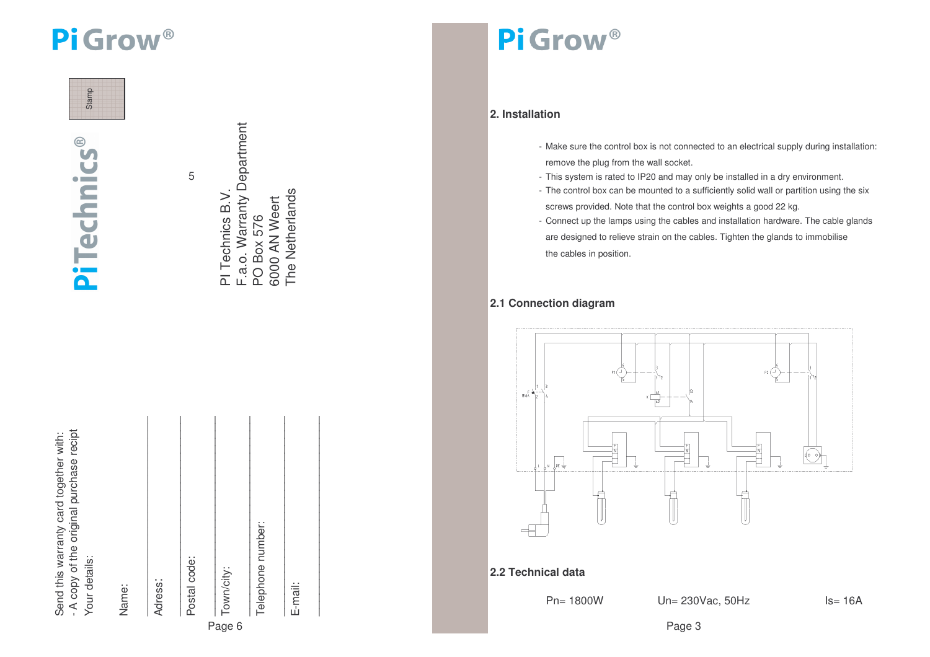

 $^{\circ}$ 

**PiTechnics** 

5

F.a.o. Warranty Department  $\cup$  (i) the contract of the contract of the contract of the contract of the contract of the contract of the contract of the contract of the contract of the contract of the contract of the contract of the contract of the The Netherlands PI Technics B.V. The NetherlandsPI Technics B.V. 6000 AN Weert 6000 AN Weert PO Box 576 Box 576

| - A copy of the original purchase recipt<br>Send this warranty card together with:<br>Your details:<br>Name: | Adress: | Postal code: | Town/city:<br>Page 6 | Telephone number: | E-mail: |  |
|--------------------------------------------------------------------------------------------------------------|---------|--------------|----------------------|-------------------|---------|--|
|                                                                                                              |         |              |                      |                   |         |  |

## Pi Grow<sup>®</sup>

### **2. Installation**

- Make sure the control box is not connected to an electrical supply during installation: remove the plug from the wall socket.
- This system is rated to IP20 and may only be installed in <sup>a</sup> dry environment.
- The control box can be mounted to <sup>a</sup> sufficiently solid wall or partition using the six screws provided. Note that the control box weights <sup>a</sup> good 22 kg.
- Connect up the lamps using the cables and installation hardware. The cable glands are designed to relieve strain on the cables. Tighten the glands to im mobilise the cables in position.

#### **2.1 C o n n e ctio n dia gra m**



**2.2Technical data**

Pn= 18 00W